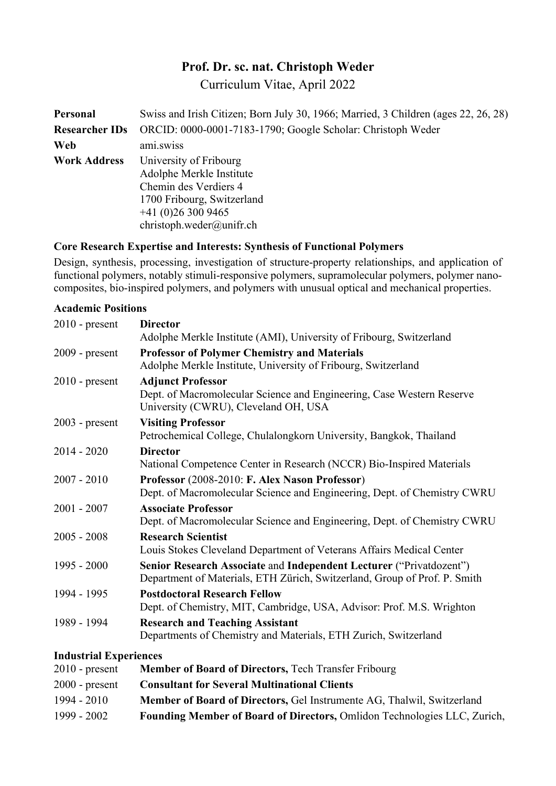# **Prof. Dr. sc. nat. Christoph Weder**

Curriculum Vitae, April 2022

| Personal            | Swiss and Irish Citizen; Born July 30, 1966; Married, 3 Children (ages 22, 26, 28)                                                                         |  |  |  |  |
|---------------------|------------------------------------------------------------------------------------------------------------------------------------------------------------|--|--|--|--|
|                     | <b>Researcher IDs</b> ORCID: 0000-0001-7183-1790; Google Scholar: Christoph Weder                                                                          |  |  |  |  |
| Web                 | ami.swiss                                                                                                                                                  |  |  |  |  |
| <b>Work Address</b> | University of Fribourg<br>Adolphe Merkle Institute<br>Chemin des Verdiers 4<br>1700 Fribourg, Switzerland<br>$+41(0)263009465$<br>christoph.weder@unifr.ch |  |  |  |  |

## **Core Research Expertise and Interests: Synthesis of Functional Polymers**

Design, synthesis, processing, investigation of structure-property relationships, and application of functional polymers, notably stimuli-responsive polymers, supramolecular polymers, polymer nanocomposites, bio-inspired polymers, and polymers with unusual optical and mechanical properties.

## **Academic Positions**

| $2010$ - present              | <b>Director</b>                                                                                                                                                                                                                                                                                            |
|-------------------------------|------------------------------------------------------------------------------------------------------------------------------------------------------------------------------------------------------------------------------------------------------------------------------------------------------------|
|                               | Adolphe Merkle Institute (AMI), University of Fribourg, Switzerland                                                                                                                                                                                                                                        |
| $2009$ - present              | <b>Professor of Polymer Chemistry and Materials</b>                                                                                                                                                                                                                                                        |
|                               | Adolphe Merkle Institute, University of Fribourg, Switzerland                                                                                                                                                                                                                                              |
| $2010$ - present              | <b>Adjunct Professor</b>                                                                                                                                                                                                                                                                                   |
|                               | Dept. of Macromolecular Science and Engineering, Case Western Reserve                                                                                                                                                                                                                                      |
|                               | University (CWRU), Cleveland OH, USA                                                                                                                                                                                                                                                                       |
| $2003$ - present              | <b>Visiting Professor</b>                                                                                                                                                                                                                                                                                  |
|                               | Petrochemical College, Chulalongkorn University, Bangkok, Thailand                                                                                                                                                                                                                                         |
| $2014 - 2020$                 | <b>Director</b>                                                                                                                                                                                                                                                                                            |
|                               | National Competence Center in Research (NCCR) Bio-Inspired Materials                                                                                                                                                                                                                                       |
| $2007 - 2010$                 | Professor (2008-2010: F. Alex Nason Professor)                                                                                                                                                                                                                                                             |
|                               | Dept. of Macromolecular Science and Engineering, Dept. of Chemistry CWRU                                                                                                                                                                                                                                   |
| $2001 - 2007$                 | <b>Associate Professor</b>                                                                                                                                                                                                                                                                                 |
|                               | Dept. of Macromolecular Science and Engineering, Dept. of Chemistry CWRU                                                                                                                                                                                                                                   |
| $2005 - 2008$                 | <b>Research Scientist</b>                                                                                                                                                                                                                                                                                  |
|                               | Louis Stokes Cleveland Department of Veterans Affairs Medical Center                                                                                                                                                                                                                                       |
| $1995 - 2000$                 | Senior Research Associate and Independent Lecturer ("Privatdozent")                                                                                                                                                                                                                                        |
|                               | Department of Materials, ETH Zürich, Switzerland, Group of Prof. P. Smith                                                                                                                                                                                                                                  |
| 1994 - 1995                   | <b>Postdoctoral Research Fellow</b>                                                                                                                                                                                                                                                                        |
|                               | Dept. of Chemistry, MIT, Cambridge, USA, Advisor: Prof. M.S. Wrighton                                                                                                                                                                                                                                      |
| 1989 - 1994                   | <b>Research and Teaching Assistant</b>                                                                                                                                                                                                                                                                     |
|                               | Departments of Chemistry and Materials, ETH Zurich, Switzerland                                                                                                                                                                                                                                            |
| <b>Industrial Experiences</b> |                                                                                                                                                                                                                                                                                                            |
| $\bigcap$ 1 $\bigcap$         | $\mathbf{M}$ if $\mathbf{D}$ if $\mathbf{D}$ if $\mathbf{D}$ if $\mathbf{D}$ if $\mathbf{D}$ if $\mathbf{D}$ if $\mathbf{D}$ if $\mathbf{D}$ if $\mathbf{D}$ if $\mathbf{D}$ if $\mathbf{D}$ if $\mathbf{D}$ if $\mathbf{D}$ if $\mathbf{D}$ if $\mathbf{D}$ if $\mathbf{D}$ if $\mathbf{D}$ if $\mathbf{$ |

| $2010$ - present | <b>Member of Board of Directors, Tech Transfer Fribourg</b>                   |
|------------------|-------------------------------------------------------------------------------|
| $2000$ - present | <b>Consultant for Several Multinational Clients</b>                           |
| $1994 - 2010$    | <b>Member of Board of Directors, Gel Instrumente AG, Thalwil, Switzerland</b> |
| 1999 - 2002      | Founding Member of Board of Directors, Omlidon Technologies LLC, Zurich,      |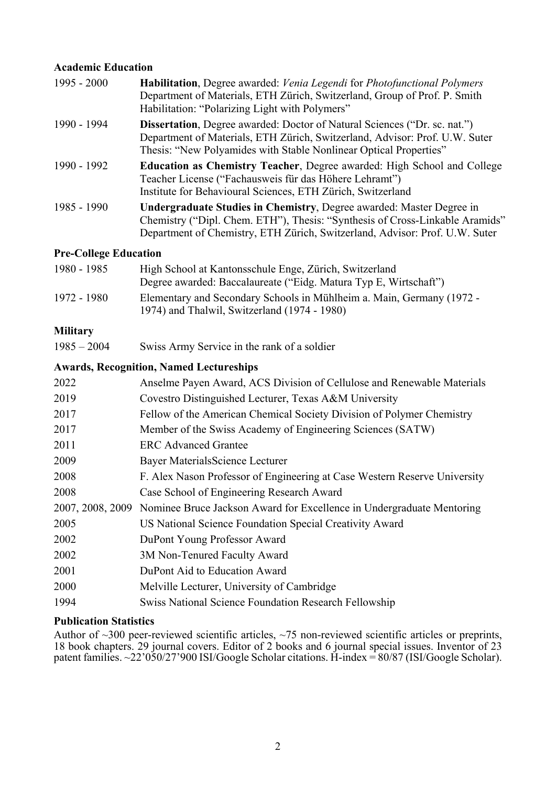## **Academic Education**

| $1995 - 2000$ | Habilitation, Degree awarded: Venia Legendi for Photofunctional Polymers<br>Department of Materials, ETH Zürich, Switzerland, Group of Prof. P. Smith<br>Habilitation: "Polarizing Light with Polymers"                                    |
|---------------|--------------------------------------------------------------------------------------------------------------------------------------------------------------------------------------------------------------------------------------------|
| 1990 - 1994   | <b>Dissertation</b> , Degree awarded: Doctor of Natural Sciences ("Dr. sc. nat.")<br>Department of Materials, ETH Zürich, Switzerland, Advisor: Prof. U.W. Suter<br>Thesis: "New Polyamides with Stable Nonlinear Optical Properties"      |
| 1990 - 1992   | <b>Education as Chemistry Teacher, Degree awarded: High School and College</b><br>Teacher License ("Fachausweis für das Höhere Lehramt")<br>Institute for Behavioural Sciences, ETH Zürich, Switzerland                                    |
| $1985 - 1990$ | <b>Undergraduate Studies in Chemistry, Degree awarded: Master Degree in</b><br>Chemistry ("Dipl. Chem. ETH"), Thesis: "Synthesis of Cross-Linkable Aramids"<br>Department of Chemistry, ETH Zürich, Switzerland, Advisor: Prof. U.W. Suter |

## **Pre-College Education**

| 1980 - 1985 | High School at Kantonsschule Enge, Zürich, Switzerland<br>Degree awarded: Baccalaureate ("Eidg. Matura Typ E, Wirtschaft") |
|-------------|----------------------------------------------------------------------------------------------------------------------------|
| 1972 - 1980 | Elementary and Secondary Schools in Mühlheim a. Main, Germany (1972 -<br>1974) and Thalwil, Switzerland (1974 - 1980)      |

## **Military**

1985 – 2004 Swiss Army Service in the rank of a soldier

#### **Awards, Recognition, Named Lectureships**

| Anselme Payen Award, ACS Division of Cellulose and Renewable Materials                 |
|----------------------------------------------------------------------------------------|
| Covestro Distinguished Lecturer, Texas A&M University                                  |
| Fellow of the American Chemical Society Division of Polymer Chemistry                  |
| Member of the Swiss Academy of Engineering Sciences (SATW)                             |
| <b>ERC</b> Advanced Grantee                                                            |
| Bayer Materials Science Lecturer                                                       |
| F. Alex Nason Professor of Engineering at Case Western Reserve University              |
| Case School of Engineering Research Award                                              |
| 2007, 2008, 2009 Nominee Bruce Jackson Award for Excellence in Undergraduate Mentoring |
| US National Science Foundation Special Creativity Award                                |
| DuPont Young Professor Award                                                           |
| 3M Non-Tenured Faculty Award                                                           |
| DuPont Aid to Education Award                                                          |
| Melville Lecturer, University of Cambridge                                             |
| <b>Swiss National Science Foundation Research Fellowship</b>                           |
|                                                                                        |

# **Publication Statistics**

Author of  $\sim$ 300 peer-reviewed scientific articles,  $\sim$ 75 non-reviewed scientific articles or preprints, 18 book chapters. 29 journal covers. Editor of 2 books and 6 journal special issues. Inventor of 23 patent families. ~22'050/27'900 ISI/Google Scholar citations. H-index = 80/87 (ISI/Google Scholar).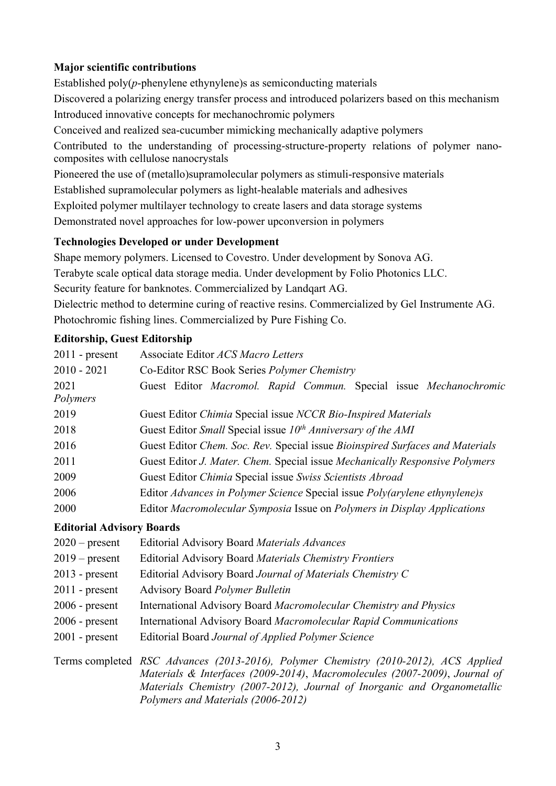# **Major scientific contributions**

Established poly(*p*-phenylene ethynylene)s as semiconducting materials Discovered a polarizing energy transfer process and introduced polarizers based on this mechanism Introduced innovative concepts for mechanochromic polymers Conceived and realized sea-cucumber mimicking mechanically adaptive polymers Contributed to the understanding of processing-structure-property relations of polymer nanocomposites with cellulose nanocrystals Pioneered the use of (metallo)supramolecular polymers as stimuli-responsive materials Established supramolecular polymers as light-healable materials and adhesives Exploited polymer multilayer technology to create lasers and data storage systems Demonstrated novel approaches for low-power upconversion in polymers

# **Technologies Developed or under Development**

Shape memory polymers. Licensed to Covestro. Under development by Sonova AG. Terabyte scale optical data storage media. Under development by Folio Photonics LLC. Security feature for banknotes. Commercialized by Landqart AG. Dielectric method to determine curing of reactive resins. Commercialized by Gel Instrumente AG. Photochromic fishing lines. Commercialized by Pure Fishing Co.

# **Editorship, Guest Editorship**

| $2011$ - present                 | Associate Editor ACS Macro Letters                                                                                   |  |  |  |  |  |  |
|----------------------------------|----------------------------------------------------------------------------------------------------------------------|--|--|--|--|--|--|
| $2010 - 2021$                    | Co-Editor RSC Book Series <i>Polymer Chemistry</i>                                                                   |  |  |  |  |  |  |
| 2021                             | Guest Editor Macromol. Rapid Commun. Special issue Mechanochromic                                                    |  |  |  |  |  |  |
| Polymers                         |                                                                                                                      |  |  |  |  |  |  |
| 2019                             | Guest Editor Chimia Special issue NCCR Bio-Inspired Materials                                                        |  |  |  |  |  |  |
| 2018                             | Guest Editor Small Special issue $10th$ Anniversary of the AMI                                                       |  |  |  |  |  |  |
| 2016                             | Guest Editor Chem. Soc. Rev. Special issue Bioinspired Surfaces and Materials                                        |  |  |  |  |  |  |
| 2011                             | Guest Editor J. Mater. Chem. Special issue Mechanically Responsive Polymers                                          |  |  |  |  |  |  |
| 2009                             | Guest Editor Chimia Special issue Swiss Scientists Abroad                                                            |  |  |  |  |  |  |
| 2006                             | Editor Advances in Polymer Science Special issue Poly(arylene ethynylene)s                                           |  |  |  |  |  |  |
| 2000                             | Editor Macromolecular Symposia Issue on Polymers in Display Applications                                             |  |  |  |  |  |  |
| <b>Editorial Advisory Boards</b> |                                                                                                                      |  |  |  |  |  |  |
| $2020$ – present                 | <b>Editorial Advisory Board Materials Advances</b>                                                                   |  |  |  |  |  |  |
| $2019$ – present                 | Editorial Advisory Board Materials Chemistry Frontiers                                                               |  |  |  |  |  |  |
| $2013$ - present                 | Editorial Advisory Board Journal of Materials Chemistry C                                                            |  |  |  |  |  |  |
| $\bigcap$ $\bigcap$ 1 1          | $\mathbf{D}$ $\mathbf{1}$ $\mathbf{D}$ $\mathbf{1}$ $\mathbf{1}$ $\mathbf{1}$ $\mathbf{1}$ $\mathbf{1}$ $\mathbf{1}$ |  |  |  |  |  |  |

- 2011 present Advisory Board *Polymer Bulletin*
- 2006 present International Advisory Board *Macromolecular Chemistry and Physics*
- 2006 present International Advisory Board *Macromolecular Rapid Communications*
- 2001 present Editorial Board *Journal of Applied Polymer Science*

Terms completed *RSC Advances (2013-2016), Polymer Chemistry (2010-2012), ACS Applied Materials & Interfaces (2009-2014)*, *Macromolecules (2007-2009)*, *Journal of Materials Chemistry (2007-2012), Journal of Inorganic and Organometallic Polymers and Materials (2006-2012)*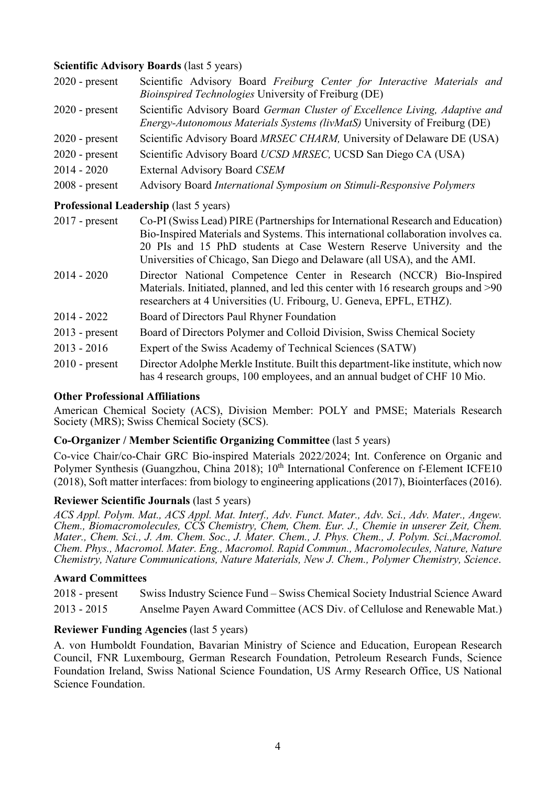## **Scientific Advisory Boards (last 5 years)**

| $2020$ - present | Scientific Advisory Board Freiburg Center for Interactive Materials and<br><i>Bioinspired Technologies</i> University of Freiburg (DE)                   |  |  |  |  |
|------------------|----------------------------------------------------------------------------------------------------------------------------------------------------------|--|--|--|--|
| $2020$ - present | Scientific Advisory Board German Cluster of Excellence Living, Adaptive and<br>Energy-Autonomous Materials Systems (livMatS) University of Freiburg (DE) |  |  |  |  |
| $2020$ - present | Scientific Advisory Board MRSEC CHARM, University of Delaware DE (USA)                                                                                   |  |  |  |  |
| $2020$ - present | Scientific Advisory Board UCSD MRSEC, UCSD San Diego CA (USA)                                                                                            |  |  |  |  |
| $2014 - 2020$    | External Advisory Board CSEM                                                                                                                             |  |  |  |  |
| $2008$ - present | Advisory Board International Symposium on Stimuli-Responsive Polymers                                                                                    |  |  |  |  |

## **Professional Leadership** (last 5 years)

| $2017$ - present | Co-PI (Swiss Lead) PIRE (Partnerships for International Research and Education)<br>Bio-Inspired Materials and Systems. This international collaboration involves ca.<br>20 PIs and 15 PhD students at Case Western Reserve University and the<br>Universities of Chicago, San Diego and Delaware (all USA), and the AMI. |
|------------------|--------------------------------------------------------------------------------------------------------------------------------------------------------------------------------------------------------------------------------------------------------------------------------------------------------------------------|
| $2014 - 2020$    | Director National Competence Center in Research (NCCR) Bio-Inspired<br>Materials. Initiated, planned, and led this center with 16 research groups and >90<br>researchers at 4 Universities (U. Fribourg, U. Geneva, EPFL, ETHZ).                                                                                         |
| $2014 - 2022$    | Board of Directors Paul Rhyner Foundation                                                                                                                                                                                                                                                                                |
| $2013$ - present | Board of Directors Polymer and Colloid Division, Swiss Chemical Society                                                                                                                                                                                                                                                  |
| $2013 - 2016$    | Expert of the Swiss Academy of Technical Sciences (SATW)                                                                                                                                                                                                                                                                 |
| $2010$ - present | Director Adolphe Merkle Institute. Built this department-like institute, which now<br>has 4 research groups, 100 employees, and an annual budget of CHF 10 Mio.                                                                                                                                                          |

#### **Other Professional Affiliations**

American Chemical Society (ACS), Division Member: POLY and PMSE; Materials Research Society (MRS); Swiss Chemical Society (SCS).

## **Co-Organizer / Member Scientific Organizing Committee** (last 5 years)

Co-vice Chair/co-Chair GRC Bio-inspired Materials 2022/2024; Int. Conference on Organic and Polymer Synthesis (Guangzhou, China 2018); 10<sup>th</sup> International Conference on f-Element ICFE10 (2018), Soft matter interfaces: from biology to engineering applications (2017), Biointerfaces (2016).

#### **Reviewer Scientific Journals** (last 5 years)

*ACS Appl. Polym. Mat., ACS Appl. Mat. Interf., Adv. Funct. Mater., Adv. Sci., Adv. Mater., Angew. Chem., Biomacromolecules, CCS Chemistry, Chem, Chem. Eur. J., Chemie in unserer Zeit, Chem. Mater., Chem. Sci., J. Am. Chem. Soc., J. Mater. Chem., J. Phys. Chem., J. Polym. Sci.,Macromol. Chem. Phys., Macromol. Mater. Eng., Macromol. Rapid Commun., Macromolecules, Nature, Nature Chemistry, Nature Communications, Nature Materials, New J. Chem., Polymer Chemistry, Science*.

#### **Award Committees**

2018 - present Swiss Industry Science Fund – Swiss Chemical Society Industrial Science Award 2013 - 2015 Anselme Payen Award Committee (ACS Div. of Cellulose and Renewable Mat.)

#### **Reviewer Funding Agencies** (last 5 years)

A. von Humboldt Foundation, Bavarian Ministry of Science and Education, European Research Council, FNR Luxembourg, German Research Foundation, Petroleum Research Funds, Science Foundation Ireland, Swiss National Science Foundation, US Army Research Office, US National Science Foundation.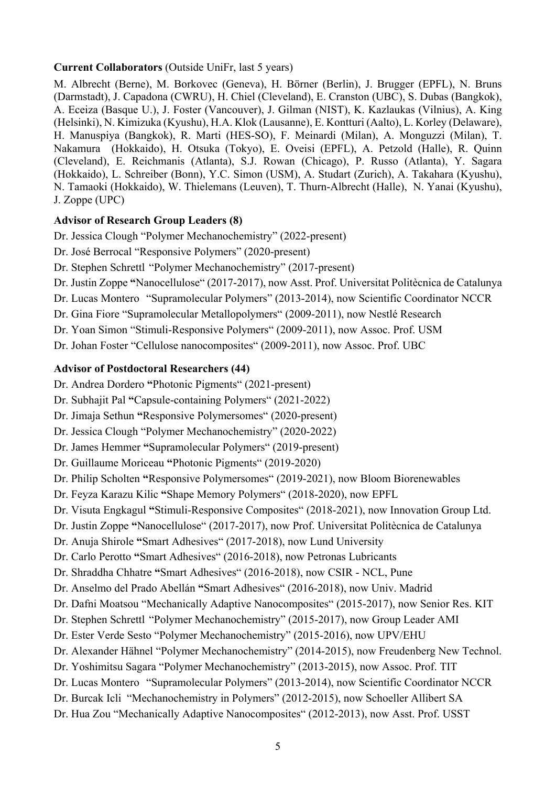## **Current Collaborators** (Outside UniFr, last 5 years)

M. Albrecht (Berne), M. Borkovec (Geneva), H. Börner (Berlin), J. Brugger (EPFL), N. Bruns (Darmstadt), J. Capadona (CWRU), H. Chiel (Cleveland), E. Cranston (UBC), S. Dubas (Bangkok), A. Eceiza (Basque U.), J. Foster (Vancouver), J. Gilman (NIST), K. Kazlaukas (Vilnius), A. King (Helsinki), N. Kimizuka (Kyushu), H.A. Klok (Lausanne), E. Kontturi (Aalto), L. Korley (Delaware), H. Manuspiya (Bangkok), R. Marti (HES-SO), F. Meinardi (Milan), A. Monguzzi (Milan), T. Nakamura (Hokkaido), H. Otsuka (Tokyo), E. Oveisi (EPFL), A. Petzold (Halle), R. Quinn (Cleveland), E. Reichmanis (Atlanta), S.J. Rowan (Chicago), P. Russo (Atlanta), Y. Sagara (Hokkaido), L. Schreiber (Bonn), Y.C. Simon (USM), A. Studart (Zurich), A. Takahara (Kyushu), N. Tamaoki (Hokkaido), W. Thielemans (Leuven), T. Thurn-Albrecht (Halle), N. Yanai (Kyushu), J. Zoppe (UPC)

## **Advisor of Research Group Leaders (8)**

Dr. Jessica Clough "Polymer Mechanochemistry" (2022-present)

Dr. José Berrocal "Responsive Polymers" (2020-present)

Dr. Stephen Schrettl "Polymer Mechanochemistry" (2017-present)

Dr. Justin Zoppe **"**Nanocellulose" (2017-2017), now Asst. Prof. Universitat Politècnica de Catalunya

Dr. Lucas Montero "Supramolecular Polymers" (2013-2014), now Scientific Coordinator NCCR

Dr. Gina Fiore "Supramolecular Metallopolymers" (2009-2011), now Nestlé Research

Dr. Yoan Simon "Stimuli-Responsive Polymers" (2009-2011), now Assoc. Prof. USM

Dr. Johan Foster "Cellulose nanocomposites" (2009-2011), now Assoc. Prof. UBC

## **Advisor of Postdoctoral Researchers (44)**

Dr. Andrea Dordero **"**Photonic Pigments" (2021-present)

Dr. Subhajit Pal **"**Capsule-containing Polymers" (2021-2022)

Dr. Jimaja Sethun **"**Responsive Polymersomes" (2020-present)

Dr. Jessica Clough "Polymer Mechanochemistry" (2020-2022)

Dr. James Hemmer **"**Supramolecular Polymers" (2019-present)

Dr. Guillaume Moriceau **"**Photonic Pigments" (2019-2020)

Dr. Philip Scholten **"**Responsive Polymersomes" (2019-2021), now Bloom Biorenewables

Dr. Feyza Karazu Kilic **"**Shape Memory Polymers" (2018-2020), now EPFL

Dr. Visuta Engkagul **"**Stimuli-Responsive Composites" (2018-2021), now Innovation Group Ltd.

Dr. Justin Zoppe **"**Nanocellulose" (2017-2017), now Prof. Universitat Politècnica de Catalunya

Dr. Anuja Shirole **"**Smart Adhesives" (2017-2018), now Lund University

Dr. Carlo Perotto **"**Smart Adhesives" (2016-2018), now Petronas Lubricants

Dr. Shraddha Chhatre **"**Smart Adhesives" (2016-2018), now CSIR - NCL, Pune

Dr. Anselmo del Prado Abellán **"**Smart Adhesives" (2016-2018), now Univ. Madrid

Dr. Dafni Moatsou "Mechanically Adaptive Nanocomposites" (2015-2017), now Senior Res. KIT

Dr. Stephen Schrettl "Polymer Mechanochemistry" (2015-2017), now Group Leader AMI

Dr. Ester Verde Sesto "Polymer Mechanochemistry" (2015-2016), now UPV/EHU

Dr. Alexander Hähnel "Polymer Mechanochemistry" (2014-2015), now Freudenberg New Technol.

Dr. Yoshimitsu Sagara "Polymer Mechanochemistry" (2013-2015), now Assoc. Prof. TIT

Dr. Lucas Montero "Supramolecular Polymers" (2013-2014), now Scientific Coordinator NCCR

Dr. Burcak Icli "Mechanochemistry in Polymers" (2012-2015), now Schoeller Allibert SA

Dr. Hua Zou "Mechanically Adaptive Nanocomposites" (2012-2013), now Asst. Prof. USST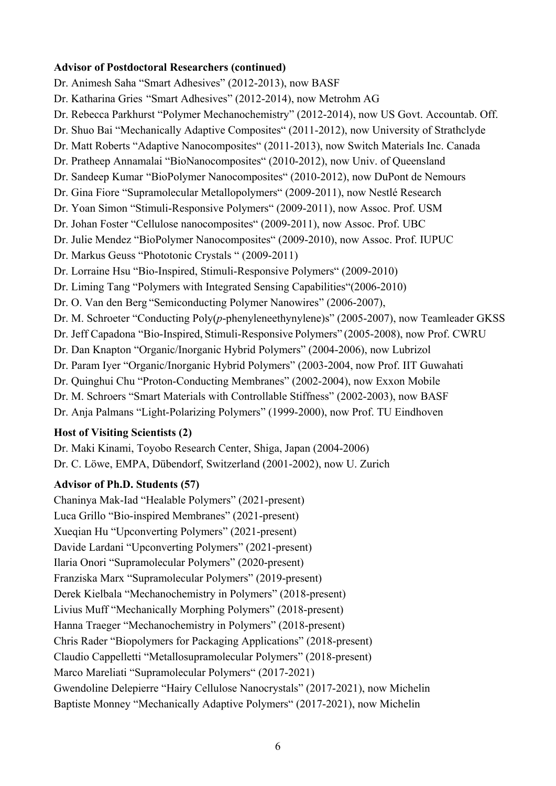#### **Advisor of Postdoctoral Researchers (continued)**

Dr. Animesh Saha "Smart Adhesives" (2012-2013), now BASF Dr. Katharina Gries "Smart Adhesives" (2012-2014), now Metrohm AG Dr. Rebecca Parkhurst "Polymer Mechanochemistry" (2012-2014), now US Govt. Accountab. Off. Dr. Shuo Bai "Mechanically Adaptive Composites" (2011-2012), now University of Strathclyde Dr. Matt Roberts "Adaptive Nanocomposites" (2011-2013), now Switch Materials Inc. Canada Dr. Pratheep Annamalai "BioNanocomposites" (2010-2012), now Univ. of Queensland Dr. Sandeep Kumar "BioPolymer Nanocomposites" (2010-2012), now DuPont de Nemours Dr. Gina Fiore "Supramolecular Metallopolymers" (2009-2011), now Nestlé Research Dr. Yoan Simon "Stimuli-Responsive Polymers" (2009-2011), now Assoc. Prof. USM Dr. Johan Foster "Cellulose nanocomposites" (2009-2011), now Assoc. Prof. UBC Dr. Julie Mendez "BioPolymer Nanocomposites" (2009-2010), now Assoc. Prof. IUPUC Dr. Markus Geuss "Phototonic Crystals " (2009-2011) Dr. Lorraine Hsu "Bio-Inspired, Stimuli-Responsive Polymers" (2009-2010) Dr. Liming Tang "Polymers with Integrated Sensing Capabilities"(2006-2010) Dr. O. Van den Berg "Semiconducting Polymer Nanowires" (2006-2007), Dr. M. Schroeter "Conducting Poly(*p*-phenyleneethynylene)s" (2005-2007), now Teamleader GKSS Dr. Jeff Capadona "Bio-Inspired, Stimuli-Responsive Polymers" (2005-2008), now Prof. CWRU Dr. Dan Knapton "Organic/Inorganic Hybrid Polymers" (2004-2006), now Lubrizol Dr. Param Iyer "Organic/Inorganic Hybrid Polymers" (2003-2004, now Prof. IIT Guwahati Dr. Quinghui Chu "Proton-Conducting Membranes" (2002-2004), now Exxon Mobile Dr. M. Schroers "Smart Materials with Controllable Stiffness" (2002-2003), now BASF Dr. Anja Palmans "Light-Polarizing Polymers" (1999-2000), now Prof. TU Eindhoven

## **Host of Visiting Scientists (2)**

Dr. Maki Kinami, Toyobo Research Center, Shiga, Japan (2004-2006) Dr. C. Löwe, EMPA, Dübendorf, Switzerland (2001-2002), now U. Zurich

## **Advisor of Ph.D. Students (57)**

Chaninya Mak-Iad "Healable Polymers" (2021-present) Luca Grillo "Bio-inspired Membranes" (2021-present) Xueqian Hu "Upconverting Polymers" (2021-present) Davide Lardani "Upconverting Polymers" (2021-present) Ilaria Onori "Supramolecular Polymers" (2020-present) Franziska Marx "Supramolecular Polymers" (2019-present) Derek Kielbala "Mechanochemistry in Polymers" (2018-present) Livius Muff "Mechanically Morphing Polymers" (2018-present) Hanna Traeger "Mechanochemistry in Polymers" (2018-present) Chris Rader "Biopolymers for Packaging Applications" (2018-present) Claudio Cappelletti "Metallosupramolecular Polymers" (2018-present) Marco Mareliati "Supramolecular Polymers" (2017-2021) Gwendoline Delepierre "Hairy Cellulose Nanocrystals" (2017-2021), now Michelin Baptiste Monney "Mechanically Adaptive Polymers" (2017-2021), now Michelin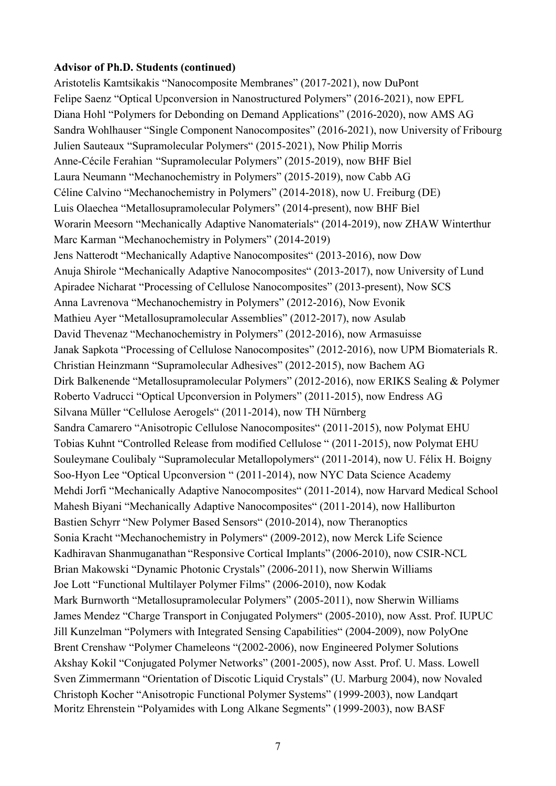#### **Advisor of Ph.D. Students (continued)**

Aristotelis Kamtsikakis "Nanocomposite Membranes" (2017-2021), now DuPont Felipe Saenz "Optical Upconversion in Nanostructured Polymers" (2016-2021), now EPFL Diana Hohl "Polymers for Debonding on Demand Applications" (2016-2020), now AMS AG Sandra Wohlhauser "Single Component Nanocomposites" (2016-2021), now University of Fribourg Julien Sauteaux "Supramolecular Polymers" (2015-2021), Now Philip Morris Anne-Cécile Ferahian "Supramolecular Polymers" (2015-2019), now BHF Biel Laura Neumann "Mechanochemistry in Polymers" (2015-2019), now Cabb AG Céline Calvino "Mechanochemistry in Polymers" (2014-2018), now U. Freiburg (DE) Luis Olaechea "Metallosupramolecular Polymers" (2014-present), now BHF Biel Worarin Meesorn "Mechanically Adaptive Nanomaterials" (2014-2019), now ZHAW Winterthur Marc Karman "Mechanochemistry in Polymers" (2014-2019) Jens Natterodt "Mechanically Adaptive Nanocomposites" (2013-2016), now Dow Anuja Shirole "Mechanically Adaptive Nanocomposites" (2013-2017), now University of Lund Apiradee Nicharat "Processing of Cellulose Nanocomposites" (2013-present), Now SCS Anna Lavrenova "Mechanochemistry in Polymers" (2012-2016), Now Evonik Mathieu Ayer "Metallosupramolecular Assemblies" (2012-2017), now Asulab David Thevenaz "Mechanochemistry in Polymers" (2012-2016), now Armasuisse Janak Sapkota "Processing of Cellulose Nanocomposites" (2012-2016), now UPM Biomaterials R. Christian Heinzmann "Supramolecular Adhesives" (2012-2015), now Bachem AG Dirk Balkenende "Metallosupramolecular Polymers" (2012-2016), now ERIKS Sealing & Polymer Roberto Vadrucci "Optical Upconversion in Polymers" (2011-2015), now Endress AG Silvana Müller "Cellulose Aerogels" (2011-2014), now TH Nürnberg Sandra Camarero "Anisotropic Cellulose Nanocomposites" (2011-2015), now Polymat EHU Tobias Kuhnt "Controlled Release from modified Cellulose " (2011-2015), now Polymat EHU Souleymane Coulibaly "Supramolecular Metallopolymers" (2011-2014), now U. Félix H. Boigny Soo-Hyon Lee "Optical Upconversion " (2011-2014), now NYC Data Science Academy Mehdi Jorfi "Mechanically Adaptive Nanocomposites" (2011-2014), now Harvard Medical School Mahesh Biyani "Mechanically Adaptive Nanocomposites" (2011-2014), now Halliburton Bastien Schyrr "New Polymer Based Sensors" (2010-2014), now Theranoptics Sonia Kracht "Mechanochemistry in Polymers" (2009-2012), now Merck Life Science Kadhiravan Shanmuganathan "Responsive Cortical Implants" (2006-2010), now CSIR-NCL Brian Makowski "Dynamic Photonic Crystals" (2006-2011), now Sherwin Williams Joe Lott "Functional Multilayer Polymer Films" (2006-2010), now Kodak Mark Burnworth "Metallosupramolecular Polymers" (2005-2011), now Sherwin Williams James Mendez "Charge Transport in Conjugated Polymers" (2005-2010), now Asst. Prof. IUPUC Jill Kunzelman "Polymers with Integrated Sensing Capabilities" (2004-2009), now PolyOne Brent Crenshaw "Polymer Chameleons "(2002-2006), now Engineered Polymer Solutions Akshay Kokil "Conjugated Polymer Networks" (2001-2005), now Asst. Prof. U. Mass. Lowell Sven Zimmermann "Orientation of Discotic Liquid Crystals" (U. Marburg 2004), now Novaled Christoph Kocher "Anisotropic Functional Polymer Systems" (1999-2003), now Landqart Moritz Ehrenstein "Polyamides with Long Alkane Segments" (1999-2003), now BASF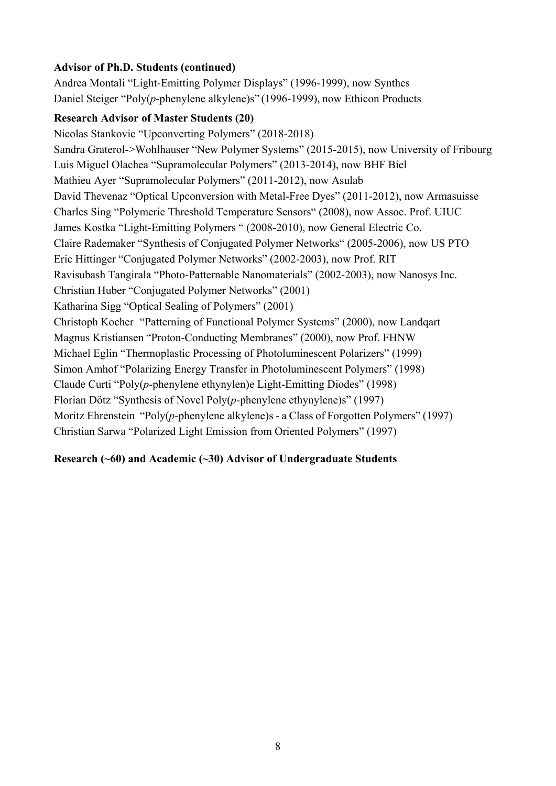# **Advisor of Ph.D. Students (continued)**

Andrea Montali "Light-Emitting Polymer Displays" (1996-1999), now Synthes Daniel Steiger "Poly(*p*-phenylene alkylene)s" (1996-1999), now Ethicon Products

# **Research Advisor of Master Students (20)**

Nicolas Stankovic "Upconverting Polymers" (2018-2018) Sandra Graterol->Wohlhauser "New Polymer Systems" (2015-2015), now University of Fribourg Luis Miguel Olachea "Supramolecular Polymers" (2013-2014), now BHF Biel Mathieu Ayer "Supramolecular Polymers" (2011-2012), now Asulab David Thevenaz "Optical Upconversion with Metal-Free Dyes" (2011-2012), now Armasuisse Charles Sing "Polymeric Threshold Temperature Sensors" (2008), now Assoc. Prof. UIUC James Kostka "Light-Emitting Polymers " (2008-2010), now General Electric Co. Claire Rademaker "Synthesis of Conjugated Polymer Networks" (2005-2006), now US PTO Eric Hittinger "Conjugated Polymer Networks" (2002-2003), now Prof. RIT Ravisubash Tangirala "Photo-Patternable Nanomaterials" (2002-2003), now Nanosys Inc. Christian Huber "Conjugated Polymer Networks" (2001) Katharina Sigg "Optical Sealing of Polymers" (2001) Christoph Kocher "Patterning of Functional Polymer Systems" (2000), now Landqart Magnus Kristiansen "Proton-Conducting Membranes" (2000), now Prof. FHNW Michael Eglin "Thermoplastic Processing of Photoluminescent Polarizers" (1999) Simon Amhof "Polarizing Energy Transfer in Photoluminescent Polymers" (1998) Claude Curti "Poly(*p*-phenylene ethynylen)e Light-Emitting Diodes" (1998) Florian Dötz "Synthesis of Novel Poly(*p*-phenylene ethynylene)s" (1997) Moritz Ehrenstein "Poly(*p*-phenylene alkylene)s - a Class of Forgotten Polymers" (1997) Christian Sarwa "Polarized Light Emission from Oriented Polymers" (1997)

## **Research (~60) and Academic (~30) Advisor of Undergraduate Students**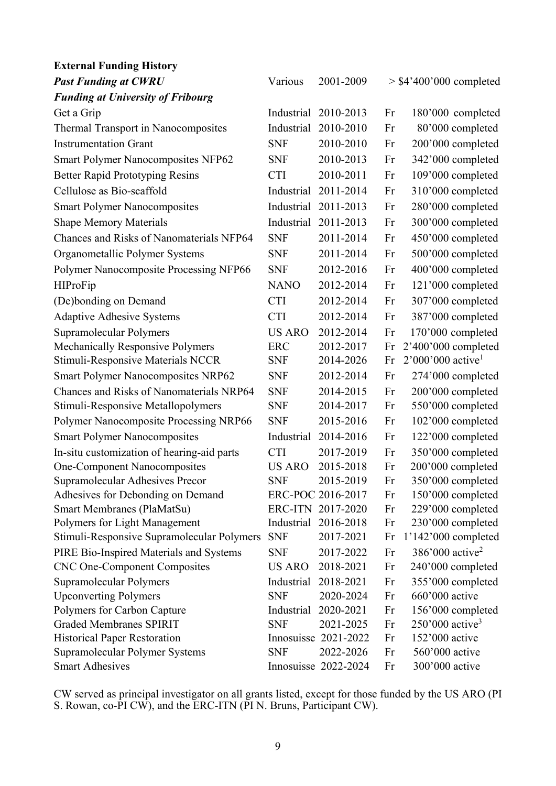| <b>External Funding History</b>                                       |               |                                   |          |                                                 |
|-----------------------------------------------------------------------|---------------|-----------------------------------|----------|-------------------------------------------------|
| <b>Past Funding at CWRU</b>                                           | Various       | 2001-2009                         |          | $>$ \$4'400'000 completed                       |
| <b>Funding at University of Fribourg</b>                              |               |                                   |          |                                                 |
| Get a Grip                                                            | Industrial    | 2010-2013                         | Fr       | 180'000 completed                               |
| Thermal Transport in Nanocomposites                                   | Industrial    | 2010-2010                         | Fr       | 80'000 completed                                |
| <b>Instrumentation Grant</b>                                          | <b>SNF</b>    | 2010-2010                         | Fr       | 200'000 completed                               |
| <b>Smart Polymer Nanocomposites NFP62</b>                             | <b>SNF</b>    | 2010-2013                         | Fr       | 342'000 completed                               |
| <b>Better Rapid Prototyping Resins</b>                                | <b>CTI</b>    | 2010-2011                         | Fr       | 109'000 completed                               |
| Cellulose as Bio-scaffold                                             | Industrial    | 2011-2014                         | Fr       | 310'000 completed                               |
| <b>Smart Polymer Nanocomposites</b>                                   | Industrial    | 2011-2013                         | Fr       | 280'000 completed                               |
| <b>Shape Memory Materials</b>                                         | Industrial    | 2011-2013                         | Fr       | 300'000 completed                               |
| <b>Chances and Risks of Nanomaterials NFP64</b>                       | <b>SNF</b>    | 2011-2014                         | Fr       | 450'000 completed                               |
| Organometallic Polymer Systems                                        | <b>SNF</b>    | 2011-2014                         | Fr       | 500'000 completed                               |
| Polymer Nanocomposite Processing NFP66                                | <b>SNF</b>    | 2012-2016                         | Fr       | 400'000 completed                               |
| <b>HIProFip</b>                                                       | <b>NANO</b>   | 2012-2014                         | Fr       | 121'000 completed                               |
| (De)bonding on Demand                                                 | <b>CTI</b>    | 2012-2014                         | Fr       | 307'000 completed                               |
| <b>Adaptive Adhesive Systems</b>                                      | <b>CTI</b>    | 2012-2014                         | Fr       | 387'000 completed                               |
| Supramolecular Polymers                                               | <b>US ARO</b> | 2012-2014                         | Fr       | 170'000 completed                               |
| Mechanically Responsive Polymers                                      | <b>ERC</b>    | 2012-2017                         | Fr       | 2'400'000 completed                             |
| Stimuli-Responsive Materials NCCR                                     | <b>SNF</b>    | 2014-2026                         | Fr       | $2'000'000$ active <sup>1</sup>                 |
| <b>Smart Polymer Nanocomposites NRP62</b>                             | <b>SNF</b>    | 2012-2014                         | Fr       | 274'000 completed                               |
| <b>Chances and Risks of Nanomaterials NRP64</b>                       | <b>SNF</b>    | 2014-2015                         | Fr       | 200'000 completed                               |
| Stimuli-Responsive Metallopolymers                                    | <b>SNF</b>    | 2014-2017                         | Fr       | 550'000 completed                               |
| Polymer Nanocomposite Processing NRP66                                | <b>SNF</b>    | 2015-2016                         | Fr       | 102'000 completed                               |
| <b>Smart Polymer Nanocomposites</b>                                   | Industrial    | 2014-2016                         | Fr       | 122'000 completed                               |
| In-situ customization of hearing-aid parts                            | <b>CTI</b>    | 2017-2019                         | Fr       | 350'000 completed                               |
| <b>One-Component Nanocomposites</b>                                   | <b>US ARO</b> | 2015-2018                         | Fr       | 200'000 completed                               |
| Supramolecular Adhesives Precor                                       | <b>SNF</b>    | 2015-2019                         | Fr       | 350'000 completed                               |
| Adhesives for Debonding on Demand                                     |               | ERC-POC 2016-2017                 | Fr       | 150'000 completed                               |
| Smart Membranes (PlaMatSu)                                            |               | ERC-ITN 2017-2020                 | Fr       | 229'000 completed                               |
| Polymers for Light Management                                         | Industrial    | 2016-2018                         | Fr       | 230'000 completed                               |
| Stimuli-Responsive Supramolecular Polymers                            | <b>SNF</b>    | 2017-2021                         | Fr       | 1'142'000 completed                             |
| PIRE Bio-Inspired Materials and Systems                               | <b>SNF</b>    | 2017-2022                         | Fr       | $386'000$ active <sup>2</sup>                   |
| <b>CNC One-Component Composites</b>                                   | <b>US ARO</b> | 2018-2021                         | Fr       | 240'000 completed                               |
| Supramolecular Polymers                                               | Industrial    | 2018-2021                         | Fr       | 355'000 completed                               |
| <b>Upconverting Polymers</b>                                          | <b>SNF</b>    | 2020-2024                         | Fr       | 660'000 active                                  |
| Polymers for Carbon Capture                                           | Industrial    | 2020-2021                         | Fr       | 156'000 completed                               |
| <b>Graded Membranes SPIRIT</b>                                        | <b>SNF</b>    | 2021-2025<br>Innosuisse 2021-2022 | Fr       | $250'000$ active <sup>3</sup><br>152'000 active |
| <b>Historical Paper Restoration</b><br>Supramolecular Polymer Systems | <b>SNF</b>    | 2022-2026                         | Fr<br>Fr | 560'000 active                                  |
| <b>Smart Adhesives</b>                                                |               | Innosuisse 2022-2024              | Fr       | 300'000 active                                  |
|                                                                       |               |                                   |          |                                                 |

CW served as principal investigator on all grants listed, except for those funded by the US ARO (PI S. Rowan, co-PI CW), and the ERC-ITN (PI N. Bruns, Participant CW).